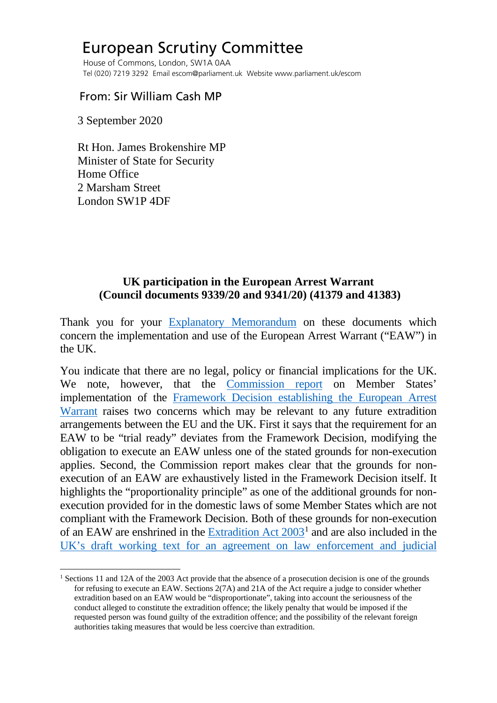## European Scrutiny Committee

 House of Commons, London, SW1A 0AA Tel (020) 7219 3292 Email escom@parliament.uk Website www.parliament.uk/escom

## From: Sir William Cash MP

3 September 2020

 Rt Hon. James Brokenshire MP Minister of State for Security Home Office 2 Marsham Street London SW1P 4DF

## **UK participation in the European Arrest Warrant (Council documents 9339/20 and 9341/20) (41379 and 41383)**

Thank you for your [Explanatory Memorandum](http://europeanmemoranda.cabinetoffice.gov.uk/files/2020/07/EM_9339_20_and_9341_20.pdf) on these documents which concern the implementation and use of the European Arrest Warrant ("EAW") in the UK.

You indicate that there are no legal, policy or financial implications for the UK. We note, however, that the [Commission report](http://europeanmemoranda.cabinetoffice.gov.uk/files/2020/07/ST_9339_2020_INIT_EN.pdf) on Member States' implementation of the [Framework Decision establishing the European Arrest](https://eur-lex.europa.eu/resource.html?uri=cellar:3b151647-772d-48b0-ad8c-0e4c78804c2e.0004.02/DOC_1&format=PDF)  [Warrant](https://eur-lex.europa.eu/resource.html?uri=cellar:3b151647-772d-48b0-ad8c-0e4c78804c2e.0004.02/DOC_1&format=PDF) raises two concerns which may be relevant to any future extradition arrangements between the EU and the UK. First it says that the requirement for an EAW to be "trial ready" deviates from the Framework Decision, modifying the obligation to execute an EAW unless one of the stated grounds for non-execution applies. Second, the Commission report makes clear that the grounds for nonexecution of an EAW are exhaustively listed in the Framework Decision itself. It highlights the "proportionality principle" as one of the additional grounds for nonexecution provided for in the domestic laws of some Member States which are not compliant with the Framework Decision. Both of these grounds for non-execution of an EAW are enshrined in the [Extradition Act 2003](https://www.legislation.gov.uk/ukpga/2003/41/contents)[1](#page-0-0) and are also included in the [UK's draft working text for an agreement on law enforcement and judicial](https://assets.publishing.service.gov.uk/government/uploads/system/uploads/attachment_data/file/886019/DRAFT_Agreement_on_Law_Enforcement_and_Judicial_Cooperation_in_Criminal_Matters.pdf) 

<span id="page-0-0"></span><sup>&</sup>lt;sup>1</sup> Sections 11 and 12A of the 2003 Act provide that the absence of a prosecution decision is one of the grounds for refusing to execute an EAW. Sections 2(7A) and 21A of the Act require a judge to consider whether extradition based on an EAW would be "disproportionate", taking into account the seriousness of the conduct alleged to constitute the extradition offence; the likely penalty that would be imposed if the requested person was found guilty of the extradition offence; and the possibility of the relevant foreign authorities taking measures that would be less coercive than extradition.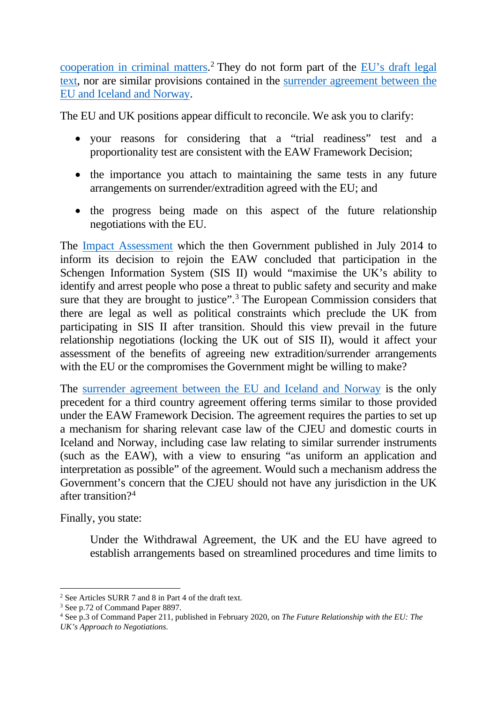[cooperation in criminal matters.](https://assets.publishing.service.gov.uk/government/uploads/system/uploads/attachment_data/file/886019/DRAFT_Agreement_on_Law_Enforcement_and_Judicial_Cooperation_in_Criminal_Matters.pdf)<sup>[2](#page-1-0)</sup> They do not form part of the **EU**'s draft legal [text,](https://ec.europa.eu/info/sites/info/files/200318-draft-agreement-gen.pdf) nor are similar provisions contained in the [surrender agreement between the](https://eur-lex.europa.eu/legal-content/EN/TXT/PDF/?uri=CELEX:22006A1021(01)&from=EN)  [EU and Iceland and Norway.](https://eur-lex.europa.eu/legal-content/EN/TXT/PDF/?uri=CELEX:22006A1021(01)&from=EN)

The EU and UK positions appear difficult to reconcile. We ask you to clarify:

- your reasons for considering that a "trial readiness" test and a proportionality test are consistent with the EAW Framework Decision;
- the importance you attach to maintaining the same tests in any future arrangements on surrender/extradition agreed with the EU; and
- the progress being made on this aspect of the future relationship negotiations with the EU.

The [Impact Assessment](https://assets.publishing.service.gov.uk/government/uploads/system/uploads/attachment_data/file/326698/41670_Cm_8897_Accessible.pdf) which the then Government published in July 2014 to inform its decision to rejoin the EAW concluded that participation in the Schengen Information System (SIS II) would "maximise the UK's ability to identify and arrest people who pose a threat to public safety and security and make sure that they are brought to justice".<sup>[3](#page-1-1)</sup> The European Commission considers that there are legal as well as political constraints which preclude the UK from participating in SIS II after transition. Should this view prevail in the future relationship negotiations (locking the UK out of SIS II), would it affect your assessment of the benefits of agreeing new extradition/surrender arrangements with the EU or the compromises the Government might be willing to make?

The [surrender agreement between the EU and Iceland and Norway](https://eur-lex.europa.eu/legal-content/EN/TXT/PDF/?uri=CELEX:22006A1021(01)&from=EN) is the only precedent for a third country agreement offering terms similar to those provided under the EAW Framework Decision. The agreement requires the parties to set up a mechanism for sharing relevant case law of the CJEU and domestic courts in Iceland and Norway, including case law relating to similar surrender instruments (such as the EAW), with a view to ensuring "as uniform an application and interpretation as possible" of the agreement. Would such a mechanism address the Government's concern that the CJEU should not have any jurisdiction in the UK after transition?[4](#page-1-2)

Finally, you state:

Under the Withdrawal Agreement, the UK and the EU have agreed to establish arrangements based on streamlined procedures and time limits to

<span id="page-1-0"></span><sup>2</sup> See Articles SURR 7 and 8 in Part 4 of the draft text.

<span id="page-1-1"></span><sup>3</sup> See p.72 of Command Paper 8897.

<span id="page-1-2"></span><sup>4</sup> See p.3 of Command Paper 211, published in February 2020, on *The Future Relationship with the EU: The UK's Approach to Negotiations*.